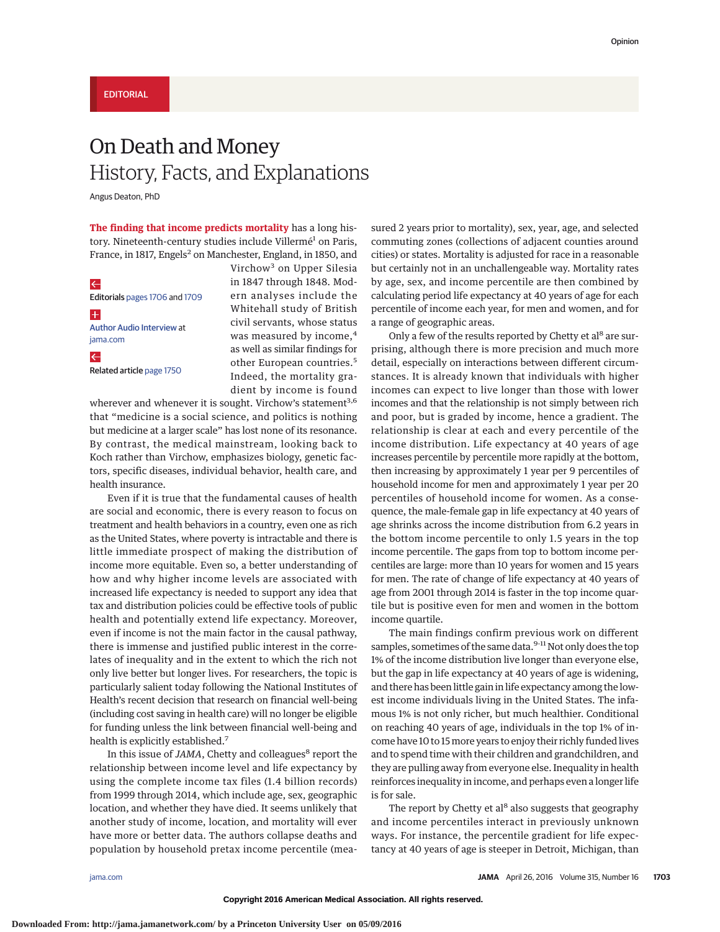## EDITORIAL

## On Death and Money History, Facts, and Explanations

Angus Deaton, PhD

**The finding that income predicts mortality** has a long history. Nineteenth-century studies include Villermé<sup>1</sup> on Paris, France, in 1817, Engels<sup>2</sup> on Manchester, England, in 1850, and

 $\leftarrow$ Editorials pages 1706 and 1709 l + Author Audio Interview at jama.com  $\left\langle \cdot \right\rangle$ Related article page 1750

Virchow<sup>3</sup> on Upper Silesia in 1847 through 1848. Modern analyses include the Whitehall study of British civil servants, whose status was measured by income,<sup>4</sup> as well as similar findings for other European countries.<sup>5</sup> Indeed, the mortality gradient by income is found

wherever and whenever it is sought. Virchow's statement<sup>3,6</sup> that "medicine is a social science, and politics is nothing but medicine at a larger scale" has lost none of its resonance. By contrast, the medical mainstream, looking back to Koch rather than Virchow, emphasizes biology, genetic factors, specific diseases, individual behavior, health care, and health insurance.

Even if it is true that the fundamental causes of health are social and economic, there is every reason to focus on treatment and health behaviors in a country, even one as rich as the United States, where poverty is intractable and there is little immediate prospect of making the distribution of income more equitable. Even so, a better understanding of how and why higher income levels are associated with increased life expectancy is needed to support any idea that tax and distribution policies could be effective tools of public health and potentially extend life expectancy. Moreover, even if income is not the main factor in the causal pathway, there is immense and justified public interest in the correlates of inequality and in the extent to which the rich not only live better but longer lives. For researchers, the topic is particularly salient today following the National Institutes of Health's recent decision that research on financial well-being (including cost saving in health care) will no longer be eligible for funding unless the link between financial well-being and health is explicitly established.7

In this issue of JAMA, Chetty and colleagues<sup>8</sup> report the relationship between income level and life expectancy by using the complete income tax files (1.4 billion records) from 1999 through 2014, which include age, sex, geographic location, and whether they have died. It seems unlikely that another study of income, location, and mortality will ever have more or better data. The authors collapse deaths and population by household pretax income percentile (measured 2 years prior to mortality), sex, year, age, and selected commuting zones (collections of adjacent counties around cities) or states. Mortality is adjusted for race in a reasonable but certainly not in an unchallengeable way. Mortality rates by age, sex, and income percentile are then combined by calculating period life expectancy at 40 years of age for each percentile of income each year, for men and women, and for a range of geographic areas.

Only a few of the results reported by Chetty et al<sup>8</sup> are surprising, although there is more precision and much more detail, especially on interactions between different circumstances. It is already known that individuals with higher incomes can expect to live longer than those with lower incomes and that the relationship is not simply between rich and poor, but is graded by income, hence a gradient. The relationship is clear at each and every percentile of the income distribution. Life expectancy at 40 years of age increases percentile by percentile more rapidly at the bottom, then increasing by approximately 1 year per 9 percentiles of household income for men and approximately 1 year per 20 percentiles of household income for women. As a consequence, the male-female gap in life expectancy at 40 years of age shrinks across the income distribution from 6.2 years in the bottom income percentile to only 1.5 years in the top income percentile. The gaps from top to bottom income percentiles are large: more than 10 years for women and 15 years for men. The rate of change of life expectancy at 40 years of age from 2001 through 2014 is faster in the top income quartile but is positive even for men and women in the bottom income quartile.

The main findings confirm previous work on different samples, sometimes of the same data.<sup>9-11</sup> Not only does the top 1% of the income distribution live longer than everyone else, but the gap in life expectancy at 40 years of age is widening, and there has been little gain in life expectancy among the lowest income individuals living in the United States. The infamous 1% is not only richer, but much healthier. Conditional on reaching 40 years of age, individuals in the top 1% of income have 10 to 15more years to enjoy their richly funded lives and to spend time with their children and grandchildren, and they are pulling away from everyone else. Inequality in health reinforces inequality in income, and perhaps even a longer life is for sale.

The report by Chetty et al<sup>8</sup> also suggests that geography and income percentiles interact in previously unknown ways. For instance, the percentile gradient for life expectancy at 40 years of age is steeper in Detroit, Michigan, than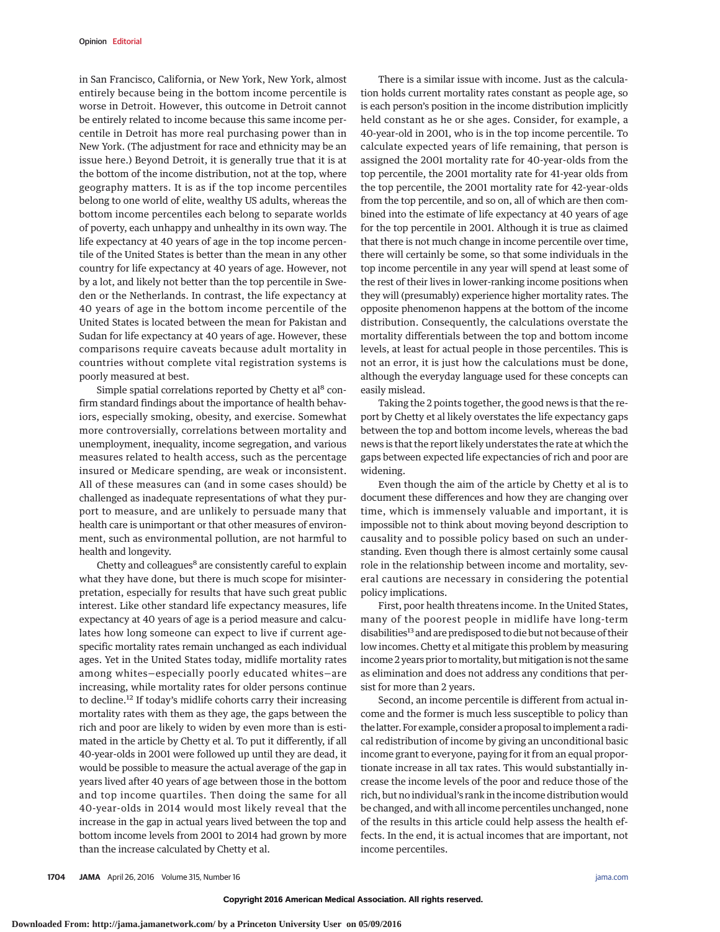in San Francisco, California, or New York, New York, almost entirely because being in the bottom income percentile is worse in Detroit. However, this outcome in Detroit cannot be entirely related to income because this same income percentile in Detroit has more real purchasing power than in New York. (The adjustment for race and ethnicity may be an issue here.) Beyond Detroit, it is generally true that it is at the bottom of the income distribution, not at the top, where geography matters. It is as if the top income percentiles belong to one world of elite, wealthy US adults, whereas the bottom income percentiles each belong to separate worlds of poverty, each unhappy and unhealthy in its own way. The life expectancy at 40 years of age in the top income percentile of the United States is better than the mean in any other country for life expectancy at 40 years of age. However, not by a lot, and likely not better than the top percentile in Sweden or the Netherlands. In contrast, the life expectancy at 40 years of age in the bottom income percentile of the United States is located between the mean for Pakistan and Sudan for life expectancy at 40 years of age. However, these comparisons require caveats because adult mortality in countries without complete vital registration systems is poorly measured at best.

Simple spatial correlations reported by Chetty et al<sup>8</sup> confirm standard findings about the importance of health behaviors, especially smoking, obesity, and exercise. Somewhat more controversially, correlations between mortality and unemployment, inequality, income segregation, and various measures related to health access, such as the percentage insured or Medicare spending, are weak or inconsistent. All of these measures can (and in some cases should) be challenged as inadequate representations of what they purport to measure, and are unlikely to persuade many that health care is unimportant or that other measures of environment, such as environmental pollution, are not harmful to health and longevity.

Chetty and colleagues<sup>8</sup> are consistently careful to explain what they have done, but there is much scope for misinterpretation, especially for results that have such great public interest. Like other standard life expectancy measures, life expectancy at 40 years of age is a period measure and calculates how long someone can expect to live if current agespecific mortality rates remain unchanged as each individual ages. Yet in the United States today, midlife mortality rates among whites—especially poorly educated whites—are increasing, while mortality rates for older persons continue to decline.<sup>12</sup> If today's midlife cohorts carry their increasing mortality rates with them as they age, the gaps between the rich and poor are likely to widen by even more than is estimated in the article by Chetty et al. To put it differently, if all 40-year-olds in 2001 were followed up until they are dead, it would be possible to measure the actual average of the gap in years lived after 40 years of age between those in the bottom and top income quartiles. Then doing the same for all 40-year-olds in 2014 would most likely reveal that the increase in the gap in actual years lived between the top and bottom income levels from 2001 to 2014 had grown by more than the increase calculated by Chetty et al.

There is a similar issue with income. Just as the calculation holds current mortality rates constant as people age, so is each person's position in the income distribution implicitly held constant as he or she ages. Consider, for example, a 40-year-old in 2001, who is in the top income percentile. To calculate expected years of life remaining, that person is assigned the 2001 mortality rate for 40-year-olds from the top percentile, the 2001 mortality rate for 41-year olds from the top percentile, the 2001 mortality rate for 42-year-olds from the top percentile, and so on, all of which are then combined into the estimate of life expectancy at 40 years of age for the top percentile in 2001. Although it is true as claimed that there is not much change in income percentile over time, there will certainly be some, so that some individuals in the top income percentile in any year will spend at least some of the rest of their lives in lower-ranking income positions when they will (presumably) experience higher mortality rates. The opposite phenomenon happens at the bottom of the income distribution. Consequently, the calculations overstate the mortality differentials between the top and bottom income levels, at least for actual people in those percentiles. This is not an error, it is just how the calculations must be done, although the everyday language used for these concepts can easily mislead.

Taking the 2 points together, the good news is that the report by Chetty et al likely overstates the life expectancy gaps between the top and bottom income levels, whereas the bad news is that the report likely understates the rate at which the gaps between expected life expectancies of rich and poor are widening.

Even though the aim of the article by Chetty et al is to document these differences and how they are changing over time, which is immensely valuable and important, it is impossible not to think about moving beyond description to causality and to possible policy based on such an understanding. Even though there is almost certainly some causal role in the relationship between income and mortality, several cautions are necessary in considering the potential policy implications.

First, poor health threatens income. In the United States, many of the poorest people in midlife have long-term disabilities<sup>13</sup> and are predisposed to die but not because of their low incomes. Chetty et al mitigate this problem by measuring income 2 years prior to mortality, but mitigation is not the same as elimination and does not address any conditions that persist for more than 2 years.

Second, an income percentile is different from actual income and the former is much less susceptible to policy than the latter. For example, consider a proposal to implement a radical redistribution of income by giving an unconditional basic income grant to everyone, paying for it from an equal proportionate increase in all tax rates. This would substantially increase the income levels of the poor and reduce those of the rich, but no individual's rank in the income distribution would be changed, and with all income percentiles unchanged, none of the results in this article could help assess the health effects. In the end, it is actual incomes that are important, not income percentiles.